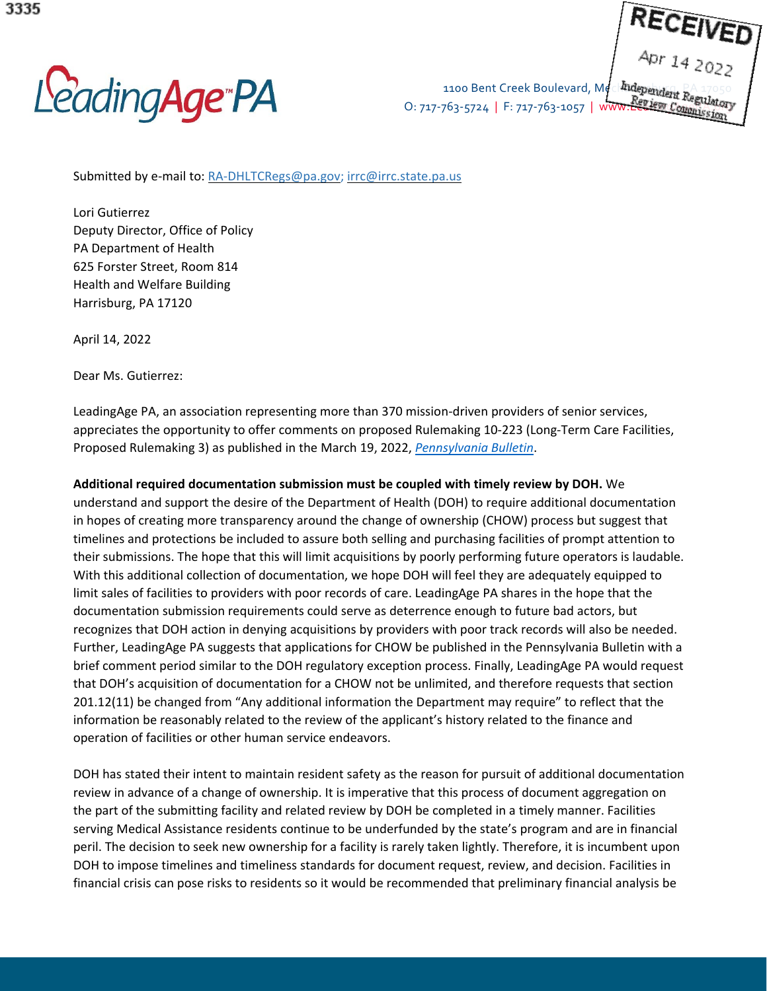LeadingAge<sup>-</sup>PA

O: 717-763-5724 | F: 717-763-1057 | W

1100 Bent Creek Boulevard, Mechanics Part Regulatory

Submitted by e-mail to: [RA-DHLTCRegs@pa.gov;](mailto:RA-DHLTCRegs@pa.gov) [irrc@irrc.state.pa.us](mailto:irrc@irrc.state.pa.us)

Lori Gutierrez Deputy Director, Office of Policy PA Department of Health 625 Forster Street, Room 814 Health and Welfare Building Harrisburg, PA 17120

April 14, 2022

Dear Ms. Gutierrez:

LeadingAge PA, an association representing more than 370 mission-driven providers of senior services, appreciates the opportunity to offer comments on proposed Rulemaking 10-223 (Long-Term Care Facilities, Proposed Rulemaking 3) as published in the March 19, 2022, *[Pennsylvania](https://www.pacodeandbulletin.gov/) Bulletin*.

**Additional required documentation submission must be coupled with timely review by DOH.** We

understand and support the desire of the Department of Health (DOH) to require additional documentation in hopes of creating more transparency around the change of ownership (CHOW) process but suggest that timelines and protections be included to assure both selling and purchasing facilities of prompt attention to their submissions. The hope that this will limit acquisitions by poorly performing future operators is laudable. With this additional collection of documentation, we hope DOH will feel they are adequately equipped to limit sales of facilities to providers with poor records of care. LeadingAge PA shares in the hope that the documentation submission requirements could serve as deterrence enough to future bad actors, but recognizes that DOH action in denying acquisitions by providers with poor track records will also be needed. Further, LeadingAge PA suggests that applications for CHOW be published in the Pennsylvania Bulletin with a brief comment period similar to the DOH regulatory exception process. Finally, LeadingAge PA would request that DOH's acquisition of documentation for a CHOW not be unlimited, and therefore requests that section 201.12(11) be changed from "Any additional information the Department may require" to reflect that the information be reasonably related to the review of the applicant's history related to the finance and operation of facilities or other human service endeavors.

DOH has stated their intent to maintain resident safety as the reason for pursuit of additional documentation review in advance of a change of ownership. It is imperative that this process of document aggregation on the part of the submitting facility and related review by DOH be completed in a timely manner. Facilities serving Medical Assistance residents continue to be underfunded by the state's program and are in financial peril. The decision to seek new ownership for a facility is rarely taken lightly. Therefore, it is incumbent upon DOH to impose timelines and timeliness standards for document request, review, and decision. Facilities in financial crisis can pose risks to residents so it would be recommended that preliminary financial analysis be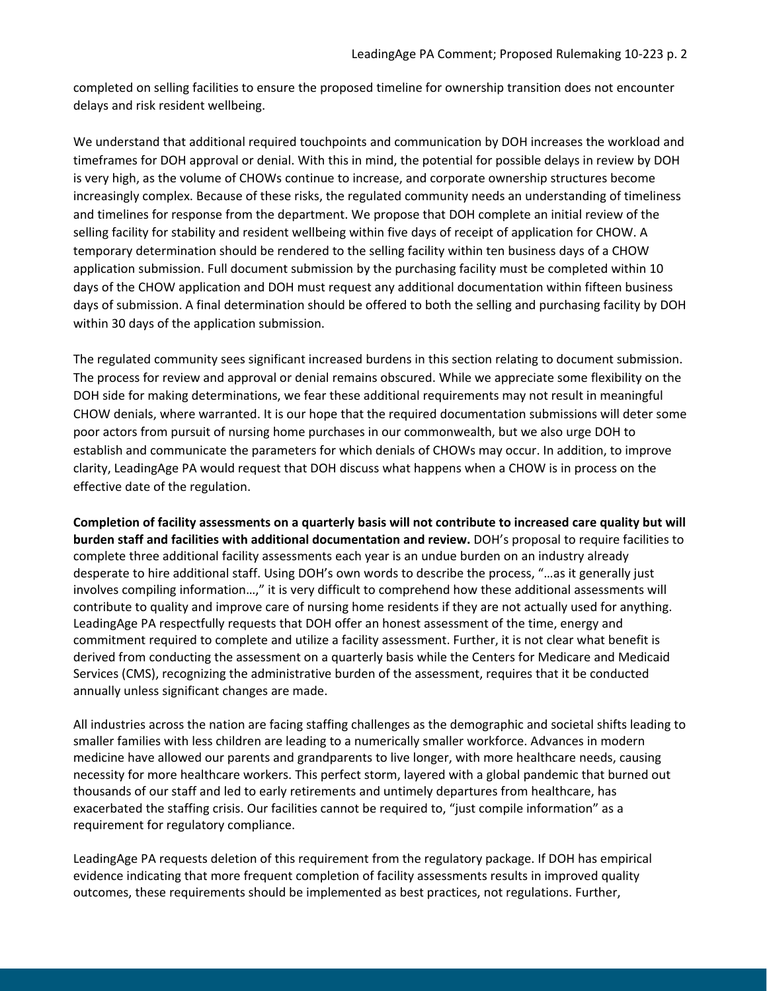completed on selling facilities to ensure the proposed timeline for ownership transition does not encounter delays and risk resident wellbeing.

We understand that additional required touchpoints and communication by DOH increases the workload and timeframes for DOH approval or denial. With this in mind, the potential for possible delays in review by DOH is very high, as the volume of CHOWs continue to increase, and corporate ownership structures become increasingly complex. Because of these risks, the regulated community needs an understanding of timeliness and timelines for response from the department. We propose that DOH complete an initial review of the selling facility for stability and resident wellbeing within five days of receipt of application for CHOW. A temporary determination should be rendered to the selling facility within ten business days of a CHOW application submission. Full document submission by the purchasing facility must be completed within 10 days of the CHOW application and DOH must request any additional documentation within fifteen business days of submission. A final determination should be offered to both the selling and purchasing facility by DOH within 30 days of the application submission.

The regulated community sees significant increased burdens in this section relating to document submission. The process for review and approval or denial remains obscured. While we appreciate some flexibility on the DOH side for making determinations, we fear these additional requirements may not result in meaningful CHOW denials, where warranted. It is our hope that the required documentation submissions will deter some poor actors from pursuit of nursing home purchases in our commonwealth, but we also urge DOH to establish and communicate the parameters for which denials of CHOWs may occur. In addition, to improve clarity, LeadingAge PA would request that DOH discuss what happens when a CHOW is in process on the effective date of the regulation.

Completion of facility assessments on a quarterly basis will not contribute to increased care quality but will **burden staff and facilities with additional documentation and review.** DOH's proposal to require facilities to complete three additional facility assessments each year is an undue burden on an industry already desperate to hire additional staff. Using DOH's own words to describe the process, "…as it generally just involves compiling information…," it is very difficult to comprehend how these additional assessments will contribute to quality and improve care of nursing home residents if they are not actually used for anything. LeadingAge PA respectfully requests that DOH offer an honest assessment of the time, energy and commitment required to complete and utilize a facility assessment. Further, it is not clear what benefit is derived from conducting the assessment on a quarterly basis while the Centers for Medicare and Medicaid Services (CMS), recognizing the administrative burden of the assessment, requires that it be conducted annually unless significant changes are made.

All industries across the nation are facing staffing challenges as the demographic and societal shifts leading to smaller families with less children are leading to a numerically smaller workforce. Advances in modern medicine have allowed our parents and grandparents to live longer, with more healthcare needs, causing necessity for more healthcare workers. This perfect storm, layered with a global pandemic that burned out thousands of our staff and led to early retirements and untimely departures from healthcare, has exacerbated the staffing crisis. Our facilities cannot be required to, "just compile information" as a requirement for regulatory compliance.

LeadingAge PA requests deletion of this requirement from the regulatory package. If DOH has empirical evidence indicating that more frequent completion of facility assessments results in improved quality outcomes, these requirements should be implemented as best practices, not regulations. Further,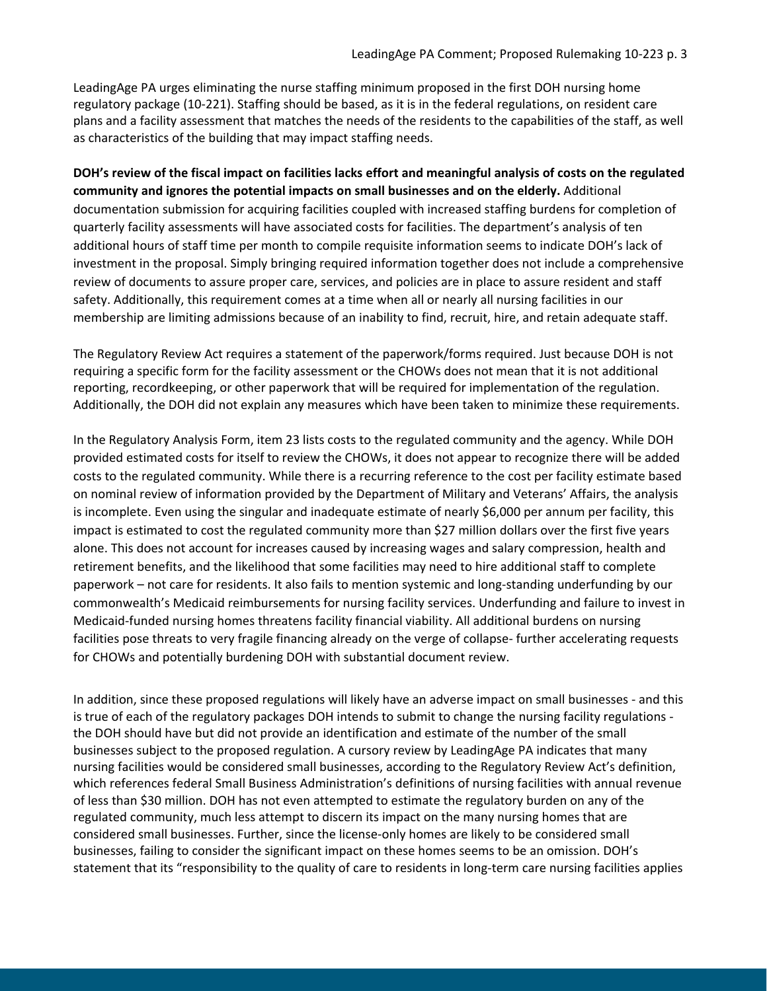LeadingAge PA urges eliminating the nurse staffing minimum proposed in the first DOH nursing home regulatory package (10-221). Staffing should be based, as it is in the federal regulations, on resident care plans and a facility assessment that matches the needs of the residents to the capabilities of the staff, as well as characteristics of the building that may impact staffing needs.

DOH's review of the fiscal impact on facilities lacks effort and meaningful analysis of costs on the regulated **community and ignores the potential impacts on small businesses and on the elderly.** Additional documentation submission for acquiring facilities coupled with increased staffing burdens for completion of quarterly facility assessments will have associated costs for facilities. The department's analysis of ten additional hours of staff time per month to compile requisite information seems to indicate DOH's lack of investment in the proposal. Simply bringing required information together does not include a comprehensive review of documents to assure proper care, services, and policies are in place to assure resident and staff safety. Additionally, this requirement comes at a time when all or nearly all nursing facilities in our membership are limiting admissions because of an inability to find, recruit, hire, and retain adequate staff.

The Regulatory Review Act requires a statement of the paperwork/forms required. Just because DOH is not requiring a specific form for the facility assessment or the CHOWs does not mean that it is not additional reporting, recordkeeping, or other paperwork that will be required for implementation of the regulation. Additionally, the DOH did not explain any measures which have been taken to minimize these requirements.

In the Regulatory Analysis Form, item 23 lists costs to the regulated community and the agency. While DOH provided estimated costs for itself to review the CHOWs, it does not appear to recognize there will be added costs to the regulated community. While there is a recurring reference to the cost per facility estimate based on nominal review of information provided by the Department of Military and Veterans' Affairs, the analysis is incomplete. Even using the singular and inadequate estimate of nearly \$6,000 per annum per facility, this impact is estimated to cost the regulated community more than \$27 million dollars over the first five years alone. This does not account for increases caused by increasing wages and salary compression, health and retirement benefits, and the likelihood that some facilities may need to hire additional staff to complete paperwork – not care for residents. It also fails to mention systemic and long-standing underfunding by our commonwealth's Medicaid reimbursements for nursing facility services. Underfunding and failure to invest in Medicaid-funded nursing homes threatens facility financial viability. All additional burdens on nursing facilities pose threats to very fragile financing already on the verge of collapse- further accelerating requests for CHOWs and potentially burdening DOH with substantial document review.

In addition, since these proposed regulations will likely have an adverse impact on small businesses - and this is true of each of the regulatory packages DOH intends to submit to change the nursing facility regulations the DOH should have but did not provide an identification and estimate of the number of the small businesses subject to the proposed regulation. A cursory review by LeadingAge PA indicates that many nursing facilities would be considered small businesses, according to the Regulatory Review Act's definition, which references federal Small Business Administration's definitions of nursing facilities with annual revenue of less than \$30 million. DOH has not even attempted to estimate the regulatory burden on any of the regulated community, much less attempt to discern its impact on the many nursing homes that are considered small businesses. Further, since the license-only homes are likely to be considered small businesses, failing to consider the significant impact on these homes seems to be an omission. DOH's statement that its "responsibility to the quality of care to residents in long-term care nursing facilities applies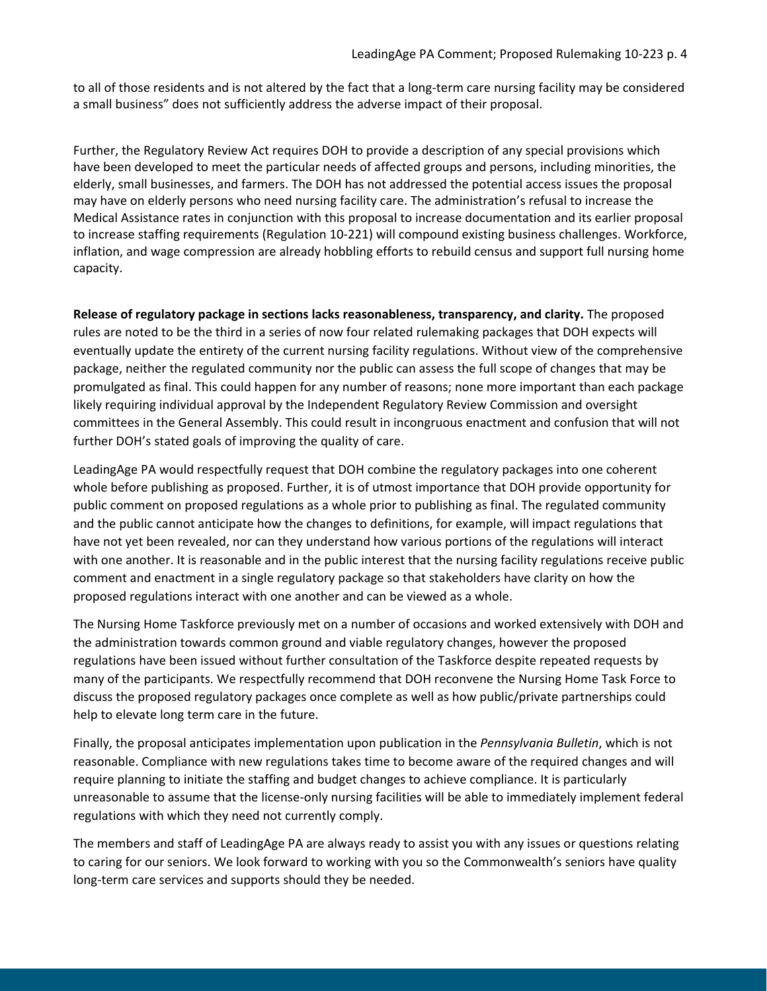to all of those residents and is not altered by the fact that a long-term care nursing facility may be considered a small business" does not sufficiently address the adverse impact of their proposal.

Further, the Regulatory Review Act requires DOH to provide a description of any special provisions which have been developed to meet the particular needs of affected groups and persons, including minorities, the elderly, small businesses, and farmers. The DOH has not addressed the potential access issues the proposal may have on elderly persons who need nursing facility care. The administration's refusal to increase the Medical Assistance rates in conjunction with this proposal to increase documentation and its earlier proposal to increase staffing requirements (Regulation 10-221) will compound existing business challenges. Workforce, inflation, and wage compression are already hobbling efforts to rebuild census and support full nursing home capacity.

**Release of regulatory package in sections lacks reasonableness, transparency, and clarity.** The proposed rules are noted to be the third in a series of now four related rulemaking packages that DOH expects will eventually update the entirety of the current nursing facility regulations. Without view of the comprehensive package, neither the regulated community nor the public can assess the full scope of changes that may be promulgated as final. This could happen for any number of reasons; none more important than each package likely requiring individual approval by the Independent Regulatory Review Commission and oversight committees in the General Assembly. This could result in incongruous enactment and confusion that will not further DOH's stated goals of improving the quality of care.

LeadingAge PA would respectfully request that DOH combine the regulatory packages into one coherent whole before publishing as proposed. Further, it is of utmost importance that DOH provide opportunity for public comment on proposed regulations as a whole prior to publishing as final. The regulated community and the public cannot anticipate how the changes to definitions, for example, will impact regulations that have not yet been revealed, nor can they understand how various portions of the regulations will interact with one another. It is reasonable and in the public interest that the nursing facility regulations receive public comment and enactment in a single regulatory package so that stakeholders have clarity on how the proposed regulations interact with one another and can be viewed as a whole.

The Nursing Home Taskforce previously met on a number of occasions and worked extensively with DOH and the administration towards common ground and viable regulatory changes, however the proposed regulations have been issued without further consultation of the Taskforce despite repeated requests by many of the participants. We respectfully recommend that DOH reconvene the Nursing Home Task Force to discuss the proposed regulatory packages once complete as well as how public/private partnerships could help to elevate long term care in the future.

Finally, the proposal anticipates implementation upon publication in the *Pennsylvania Bulletin*, which is not reasonable. Compliance with new regulations takes time to become aware of the required changes and will require planning to initiate the staffing and budget changes to achieve compliance. It is particularly unreasonable to assume that the license-only nursing facilities will be able to immediately implement federal regulations with which they need not currently comply.

The members and staff of LeadingAge PA are always ready to assist you with any issues or questions relating to caring for our seniors. We look forward to working with you so the Commonwealth's seniors have quality long-term care services and supports should they be needed.